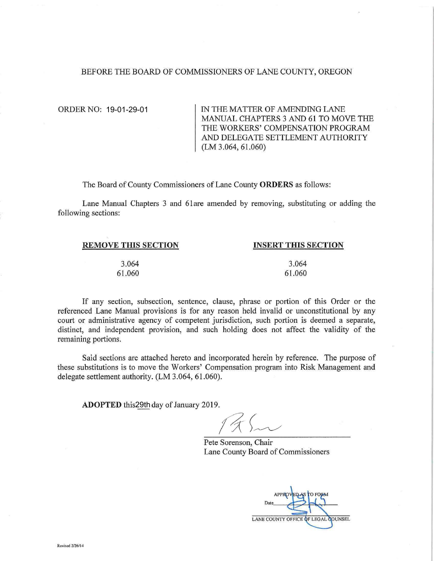#### BEFORE THE BOARD OF COMMISSIONERS OF LANE COUNTY, OREGON

ORDER NO: 19-01-29-01

IN THE MATTER OF AMENDING LANE MANUAL CHAPTERS 3 AND 61 TO MOVE THE THE WORKERS' COMPENSATION PROGRAM AND DELEGATE SETTLEMENT AUTHORITY (LM 3.064, 61.060)

The Board of County Commissioners of Lane County **ORDERS** as follows:

Lane Manual Chapters 3 and 6lare amended by removing, substituting or adding the following sections:

| <b>REMOVE THIS SECTION</b> | <b>INSERT THIS SECTION</b> |
|----------------------------|----------------------------|
| 3.064                      | 3.064                      |
| 61.060                     | 61.060                     |

If any section, subsection, sentence, clause, phrase or portion of this Order or the referenced Lane Manual provisions is for any reason held invalid or unconstitutional by any court or administrative agency of competent jurisdiction, such portion is deemed a separate, distinct, and independent provision, and such holding does not affect the validity of the remaining portions.

Said sections are attached hereto and incorporated herein by reference. The purpose of these substitutions is to move the Workers' Compensation program into Risk Management and delegate settlement authority. (LM 3.064, 61.060).

ADOPTED this 29th day of January 2019.

Pete Sorenson, Chair Lane County Board of Commissioners

Date LANE COUNTY OFFICE OF LEGAL COUNSEL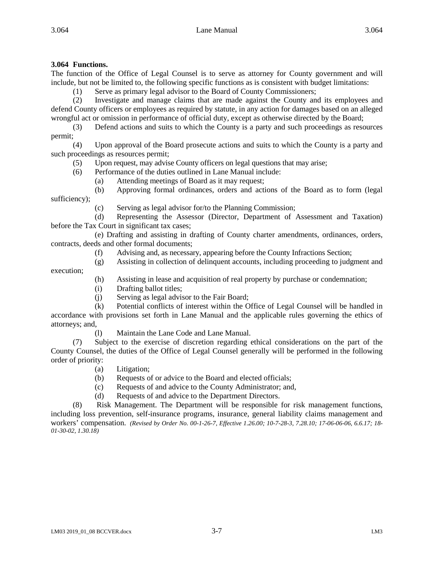# **3.064 Functions.**

execution;

The function of the Office of Legal Counsel is to serve as attorney for County government and will include, but not be limited to, the following specific functions as is consistent with budget limitations:

(1) Serve as primary legal advisor to the Board of County Commissioners;

(2) Investigate and manage claims that are made against the County and its employees and defend County officers or employees as required by statute, in any action for damages based on an alleged wrongful act or omission in performance of official duty, except as otherwise directed by the Board;

(3) Defend actions and suits to which the County is a party and such proceedings as resources permit;

(4) Upon approval of the Board prosecute actions and suits to which the County is a party and such proceedings as resources permit;

(5) Upon request, may advise County officers on legal questions that may arise;

(6) Performance of the duties outlined in Lane Manual include:

(a) Attending meetings of Board as it may request;

(b) Approving formal ordinances, orders and actions of the Board as to form (legal sufficiency);

(c) Serving as legal advisor for/to the Planning Commission;

(d) Representing the Assessor (Director, Department of Assessment and Taxation) before the Tax Court in significant tax cases;

(e) Drafting and assisting in drafting of County charter amendments, ordinances, orders, contracts, deeds and other formal documents;

- (f) Advising and, as necessary, appearing before the County Infractions Section;
- (g) Assisting in collection of delinquent accounts, including proceeding to judgment and
	- (h) Assisting in lease and acquisition of real property by purchase or condemnation;
	- (i) Drafting ballot titles;
	- (j) Serving as legal advisor to the Fair Board;

(k) Potential conflicts of interest within the Office of Legal Counsel will be handled in accordance with provisions set forth in Lane Manual and the applicable rules governing the ethics of attorneys; and,

(l) Maintain the Lane Code and Lane Manual.

(7) Subject to the exercise of discretion regarding ethical considerations on the part of the County Counsel, the duties of the Office of Legal Counsel generally will be performed in the following order of priority:

- (a) Litigation;
- (b) Requests of or advice to the Board and elected officials;
- (c) Requests of and advice to the County Administrator; and,
- (d) Requests of and advice to the Department Directors.

(8) Risk Management. The Department will be responsible for risk management functions, including loss prevention, self-insurance programs, insurance, general liability claims management and workers' compensation. *(Revised by Order No. 00-1-26-7, Effective 1.26.00; 10-7-28-3, 7.28.10; 17-06-06-06, 6.6.17; 18- 01-30-02, 1.30.18)*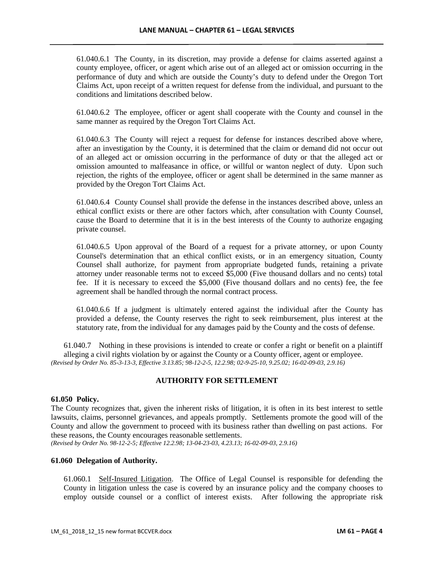61.040.6.1 The County, in its discretion, may provide a defense for claims asserted against a county employee, officer, or agent which arise out of an alleged act or omission occurring in the performance of duty and which are outside the County's duty to defend under the Oregon Tort Claims Act, upon receipt of a written request for defense from the individual, and pursuant to the conditions and limitations described below.

61.040.6.2 The employee, officer or agent shall cooperate with the County and counsel in the same manner as required by the Oregon Tort Claims Act.

61.040.6.3 The County will reject a request for defense for instances described above where, after an investigation by the County, it is determined that the claim or demand did not occur out of an alleged act or omission occurring in the performance of duty or that the alleged act or omission amounted to malfeasance in office, or willful or wanton neglect of duty. Upon such rejection, the rights of the employee, officer or agent shall be determined in the same manner as provided by the Oregon Tort Claims Act.

61.040.6.4 County Counsel shall provide the defense in the instances described above, unless an ethical conflict exists or there are other factors which, after consultation with County Counsel, cause the Board to determine that it is in the best interests of the County to authorize engaging private counsel.

61.040.6.5 Upon approval of the Board of a request for a private attorney, or upon County Counsel's determination that an ethical conflict exists, or in an emergency situation, County Counsel shall authorize, for payment from appropriate budgeted funds, retaining a private attorney under reasonable terms not to exceed \$5,000 (Five thousand dollars and no cents) total fee. If it is necessary to exceed the \$5,000 (Five thousand dollars and no cents) fee, the fee agreement shall be handled through the normal contract process.

61.040.6.6 If a judgment is ultimately entered against the individual after the County has provided a defense, the County reserves the right to seek reimbursement, plus interest at the statutory rate, from the individual for any damages paid by the County and the costs of defense.

61.040.7 Nothing in these provisions is intended to create or confer a right or benefit on a plaintiff alleging a civil rights violation by or against the County or a County officer, agent or employee. *(Revised by Order No. 85-3-13-3, Effective 3.13.85; 98-12-2-5, 12.2.98; 02-9-25-10, 9.25.02; 16-02-09-03, 2.9.16)*

# **AUTHORITY FOR SETTLEMENT**

### **61.050 Policy.**

The County recognizes that, given the inherent risks of litigation, it is often in its best interest to settle lawsuits, claims, personnel grievances, and appeals promptly. Settlements promote the good will of the County and allow the government to proceed with its business rather than dwelling on past actions. For these reasons, the County encourages reasonable settlements.

*(Revised by Order No. 98-12-2-5; Effective 12.2.98; 13-04-23-03, 4.23.13; 16-02-09-03, 2.9.16)*

# **61.060 Delegation of Authority.**

61.060.1 Self-Insured Litigation. The Office of Legal Counsel is responsible for defending the County in litigation unless the case is covered by an insurance policy and the company chooses to employ outside counsel or a conflict of interest exists. After following the appropriate risk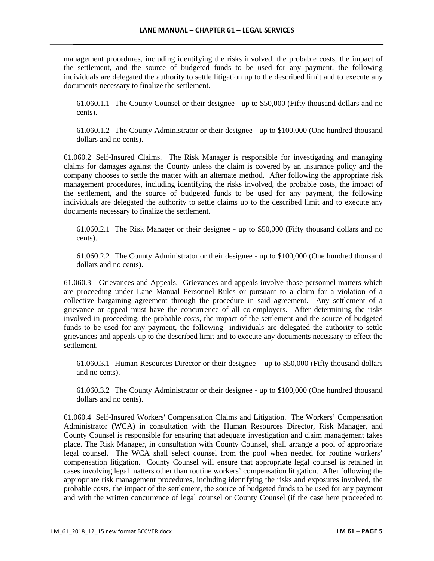management procedures, including identifying the risks involved, the probable costs, the impact of the settlement, and the source of budgeted funds to be used for any payment, the following individuals are delegated the authority to settle litigation up to the described limit and to execute any documents necessary to finalize the settlement.

61.060.1.1 The County Counsel or their designee - up to \$50,000 (Fifty thousand dollars and no cents).

61.060.1.2 The County Administrator or their designee - up to \$100,000 (One hundred thousand dollars and no cents).

61.060.2 Self-Insured Claims. The Risk Manager is responsible for investigating and managing claims for damages against the County unless the claim is covered by an insurance policy and the company chooses to settle the matter with an alternate method. After following the appropriate risk management procedures, including identifying the risks involved, the probable costs, the impact of the settlement, and the source of budgeted funds to be used for any payment, the following individuals are delegated the authority to settle claims up to the described limit and to execute any documents necessary to finalize the settlement.

61.060.2.1 The Risk Manager or their designee - up to \$50,000 (Fifty thousand dollars and no cents).

61.060.2.2 The County Administrator or their designee - up to \$100,000 (One hundred thousand dollars and no cents).

61.060.3 Grievances and Appeals. Grievances and appeals involve those personnel matters which are proceeding under Lane Manual Personnel Rules or pursuant to a claim for a violation of a collective bargaining agreement through the procedure in said agreement. Any settlement of a grievance or appeal must have the concurrence of all co-employers. After determining the risks involved in proceeding, the probable costs, the impact of the settlement and the source of budgeted funds to be used for any payment, the following individuals are delegated the authority to settle grievances and appeals up to the described limit and to execute any documents necessary to effect the settlement.

61.060.3.1 Human Resources Director or their designee – up to \$50,000 (Fifty thousand dollars and no cents).

61.060.3.2 The County Administrator or their designee - up to \$100,000 (One hundred thousand dollars and no cents).

61.060.4 Self-Insured Workers' Compensation Claims and Litigation. The Workers' Compensation Administrator (WCA) in consultation with the Human Resources Director, Risk Manager, and County Counsel is responsible for ensuring that adequate investigation and claim management takes place. The Risk Manager, in consultation with County Counsel, shall arrange a pool of appropriate legal counsel. The WCA shall select counsel from the pool when needed for routine workers' compensation litigation. County Counsel will ensure that appropriate legal counsel is retained in cases involving legal matters other than routine workers' compensation litigation. After following the appropriate risk management procedures, including identifying the risks and exposures involved, the probable costs, the impact of the settlement, the source of budgeted funds to be used for any payment and with the written concurrence of legal counsel or County Counsel (if the case here proceeded to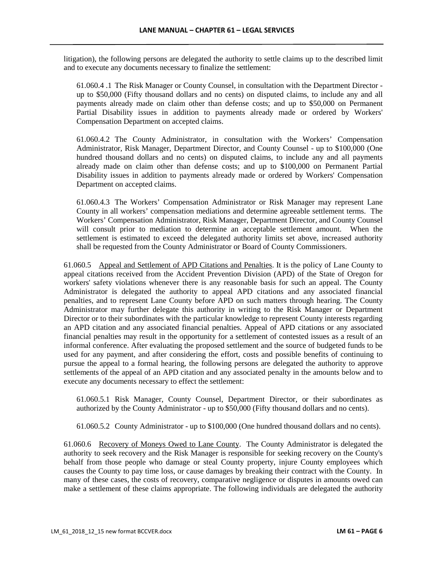litigation), the following persons are delegated the authority to settle claims up to the described limit and to execute any documents necessary to finalize the settlement:

61.060.4 .1 The Risk Manager or County Counsel, in consultation with the Department Director up to \$50,000 (Fifty thousand dollars and no cents) on disputed claims, to include any and all payments already made on claim other than defense costs; and up to \$50,000 on Permanent Partial Disability issues in addition to payments already made or ordered by Workers' Compensation Department on accepted claims.

61.060.4.2 The County Administrator, in consultation with the Workers' Compensation Administrator, Risk Manager, Department Director, and County Counsel - up to \$100,000 (One hundred thousand dollars and no cents) on disputed claims, to include any and all payments already made on claim other than defense costs; and up to \$100,000 on Permanent Partial Disability issues in addition to payments already made or ordered by Workers' Compensation Department on accepted claims.

61.060.4.3 The Workers' Compensation Administrator or Risk Manager may represent Lane County in all workers' compensation mediations and determine agreeable settlement terms. The Workers' Compensation Administrator, Risk Manager, Department Director, and County Counsel will consult prior to mediation to determine an acceptable settlement amount. When the settlement is estimated to exceed the delegated authority limits set above, increased authority shall be requested from the County Administrator or Board of County Commissioners.

61.060.5 Appeal and Settlement of APD Citations and Penalties. It is the policy of Lane County to appeal citations received from the Accident Prevention Division (APD) of the State of Oregon for workers' safety violations whenever there is any reasonable basis for such an appeal. The County Administrator is delegated the authority to appeal APD citations and any associated financial penalties, and to represent Lane County before APD on such matters through hearing. The County Administrator may further delegate this authority in writing to the Risk Manager or Department Director or to their subordinates with the particular knowledge to represent County interests regarding an APD citation and any associated financial penalties. Appeal of APD citations or any associated financial penalties may result in the opportunity for a settlement of contested issues as a result of an informal conference. After evaluating the proposed settlement and the source of budgeted funds to be used for any payment, and after considering the effort, costs and possible benefits of continuing to pursue the appeal to a formal hearing, the following persons are delegated the authority to approve settlements of the appeal of an APD citation and any associated penalty in the amounts below and to execute any documents necessary to effect the settlement:

61.060.5.1 Risk Manager, County Counsel, Department Director, or their subordinates as authorized by the County Administrator - up to \$50,000 (Fifty thousand dollars and no cents).

61.060.5.2 County Administrator - up to \$100,000 (One hundred thousand dollars and no cents).

61.060.6 Recovery of Moneys Owed to Lane County. The County Administrator is delegated the authority to seek recovery and the Risk Manager is responsible for seeking recovery on the County's behalf from those people who damage or steal County property, injure County employees which causes the County to pay time loss, or cause damages by breaking their contract with the County. In many of these cases, the costs of recovery, comparative negligence or disputes in amounts owed can make a settlement of these claims appropriate. The following individuals are delegated the authority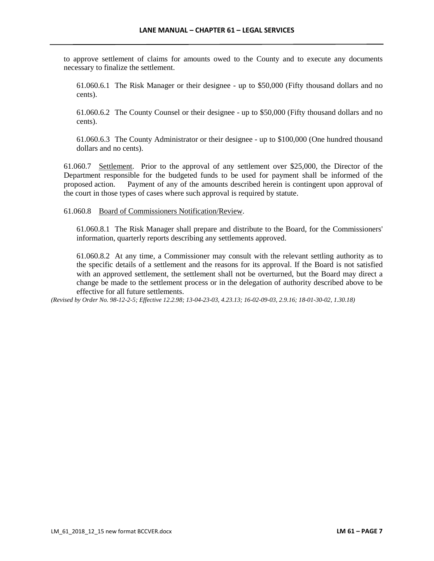to approve settlement of claims for amounts owed to the County and to execute any documents necessary to finalize the settlement.

61.060.6.1 The Risk Manager or their designee - up to \$50,000 (Fifty thousand dollars and no cents).

61.060.6.2 The County Counsel or their designee - up to \$50,000 (Fifty thousand dollars and no cents).

61.060.6.3 The County Administrator or their designee - up to \$100,000 (One hundred thousand dollars and no cents).

61.060.7 Settlement. Prior to the approval of any settlement over \$25,000, the Director of the Department responsible for the budgeted funds to be used for payment shall be informed of the proposed action. Payment of any of the amounts described herein is contingent upon approval of the court in those types of cases where such approval is required by statute.

### 61.060.8 Board of Commissioners Notification/Review.

61.060.8.1 The Risk Manager shall prepare and distribute to the Board, for the Commissioners' information, quarterly reports describing any settlements approved.

61.060.8.2 At any time, a Commissioner may consult with the relevant settling authority as to the specific details of a settlement and the reasons for its approval. If the Board is not satisfied with an approved settlement, the settlement shall not be overturned, but the Board may direct a change be made to the settlement process or in the delegation of authority described above to be effective for all future settlements.

*(Revised by Order No. 98-12-2-5; Effective 12.2.98; 13-04-23-03, 4.23.13; 16-02-09-03, 2.9.16; 18-01-30-02, 1.30.18)*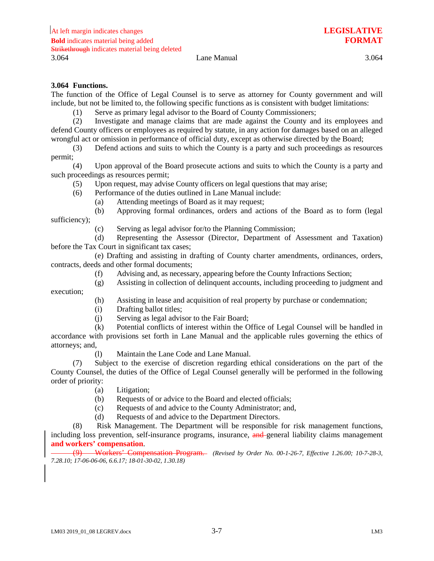# **3.064 Functions.**

execution;

The function of the Office of Legal Counsel is to serve as attorney for County government and will include, but not be limited to, the following specific functions as is consistent with budget limitations:

(1) Serve as primary legal advisor to the Board of County Commissioners;

(2) Investigate and manage claims that are made against the County and its employees and defend County officers or employees as required by statute, in any action for damages based on an alleged wrongful act or omission in performance of official duty, except as otherwise directed by the Board;

(3) Defend actions and suits to which the County is a party and such proceedings as resources permit;

(4) Upon approval of the Board prosecute actions and suits to which the County is a party and such proceedings as resources permit;

(5) Upon request, may advise County officers on legal questions that may arise;

(6) Performance of the duties outlined in Lane Manual include:

(a) Attending meetings of Board as it may request;

(b) Approving formal ordinances, orders and actions of the Board as to form (legal sufficiency);

(c) Serving as legal advisor for/to the Planning Commission;

(d) Representing the Assessor (Director, Department of Assessment and Taxation) before the Tax Court in significant tax cases;

(e) Drafting and assisting in drafting of County charter amendments, ordinances, orders, contracts, deeds and other formal documents;

- (f) Advising and, as necessary, appearing before the County Infractions Section;
- (g) Assisting in collection of delinquent accounts, including proceeding to judgment and

(h) Assisting in lease and acquisition of real property by purchase or condemnation;

- (i) Drafting ballot titles;
- (j) Serving as legal advisor to the Fair Board;

(k) Potential conflicts of interest within the Office of Legal Counsel will be handled in accordance with provisions set forth in Lane Manual and the applicable rules governing the ethics of attorneys; and,

(l) Maintain the Lane Code and Lane Manual.

(7) Subject to the exercise of discretion regarding ethical considerations on the part of the County Counsel, the duties of the Office of Legal Counsel generally will be performed in the following order of priority:

- (a) Litigation;
- (b) Requests of or advice to the Board and elected officials;
- (c) Requests of and advice to the County Administrator; and,
- (d) Requests of and advice to the Department Directors.

(8) Risk Management. The Department will be responsible for risk management functions, including loss prevention, self-insurance programs, insurance, and general liability claims management **and workers' compensation**.

(9) Workers' Compensation Program. *(Revised by Order No. 00-1-26-7, Effective 1.26.00; 10-7-28-3, 7.28.10; 17-06-06-06, 6.6.17; 18-01-30-02, 1.30.18)*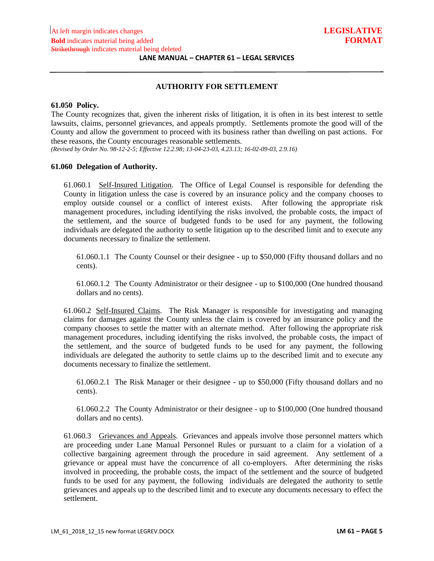### **AUTHORITY FOR SETTLEMENT**

### **61.050 Policy.**

The County recognizes that, given the inherent risks of litigation, it is often in its best interest to settle lawsuits, claims, personnel grievances, and appeals promptly. Settlements promote the good will of the County and allow the government to proceed with its business rather than dwelling on past actions. For these reasons, the County encourages reasonable settlements.

*(Revised by Order No. 98-12-2-5; Effective 12.2.98; 13-04-23-03, 4.23.13; 16-02-09-03, 2.9.16)*

#### **61.060 Delegation of Authority.**

61.060.1 Self-Insured Litigation. The Office of Legal Counsel is responsible for defending the County in litigation unless the case is covered by an insurance policy and the company chooses to employ outside counsel or a conflict of interest exists. After following the appropriate risk management procedures, including identifying the risks involved, the probable costs, the impact of the settlement, and the source of budgeted funds to be used for any payment, the following individuals are delegated the authority to settle litigation up to the described limit and to execute any documents necessary to finalize the settlement.

61.060.1.1 The County Counsel or their designee - up to \$50,000 (Fifty thousand dollars and no cents).

61.060.1.2 The County Administrator or their designee - up to \$100,000 (One hundred thousand dollars and no cents).

61.060.2 Self-Insured Claims. The Risk Manager is responsible for investigating and managing claims for damages against the County unless the claim is covered by an insurance policy and the company chooses to settle the matter with an alternate method. After following the appropriate risk management procedures, including identifying the risks involved, the probable costs, the impact of the settlement, and the source of budgeted funds to be used for any payment, the following individuals are delegated the authority to settle claims up to the described limit and to execute any documents necessary to finalize the settlement.

61.060.2.1 The Risk Manager or their designee - up to \$50,000 (Fifty thousand dollars and no cents).

61.060.2.2 The County Administrator or their designee - up to \$100,000 (One hundred thousand dollars and no cents).

61.060.3 Grievances and Appeals. Grievances and appeals involve those personnel matters which are proceeding under Lane Manual Personnel Rules or pursuant to a claim for a violation of a collective bargaining agreement through the procedure in said agreement. Any settlement of a grievance or appeal must have the concurrence of all co-employers. After determining the risks involved in proceeding, the probable costs, the impact of the settlement and the source of budgeted funds to be used for any payment, the following individuals are delegated the authority to settle grievances and appeals up to the described limit and to execute any documents necessary to effect the settlement.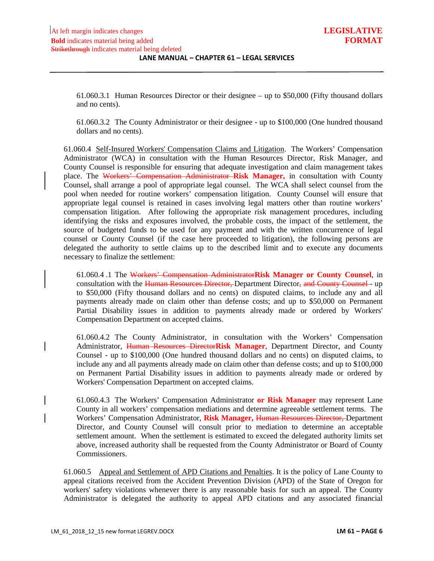61.060.3.1 Human Resources Director or their designee – up to \$50,000 (Fifty thousand dollars and no cents).

61.060.3.2 The County Administrator or their designee - up to \$100,000 (One hundred thousand dollars and no cents).

61.060.4 Self-Insured Workers' Compensation Claims and Litigation. The Workers' Compensation Administrator (WCA) in consultation with the Human Resources Director, Risk Manager, and County Counsel is responsible for ensuring that adequate investigation and claim management takes place. The Workers' Compensation Administrator **Risk Manager,** in consultation with County Counsel**,** shall arrange a pool of appropriate legal counsel. The WCA shall select counsel from the pool when needed for routine workers' compensation litigation. County Counsel will ensure that appropriate legal counsel is retained in cases involving legal matters other than routine workers' compensation litigation. After following the appropriate risk management procedures, including identifying the risks and exposures involved, the probable costs, the impact of the settlement, the source of budgeted funds to be used for any payment and with the written concurrence of legal counsel or County Counsel (if the case here proceeded to litigation), the following persons are delegated the authority to settle claims up to the described limit and to execute any documents necessary to finalize the settlement:

61.060.4 .1 The Workers' Compensation Administrator**Risk Manager or County Counsel**, in consultation with the Human Resources Director, Department Director, and County Counsel - up to \$50,000 (Fifty thousand dollars and no cents) on disputed claims, to include any and all payments already made on claim other than defense costs; and up to \$50,000 on Permanent Partial Disability issues in addition to payments already made or ordered by Workers' Compensation Department on accepted claims.

61.060.4.2 The County Administrator, in consultation with the Workers' Compensation Administrator, Human Resources Director**Risk Manager**, Department Director, and County Counsel - up to \$100,000 (One hundred thousand dollars and no cents) on disputed claims, to include any and all payments already made on claim other than defense costs; and up to \$100,000 on Permanent Partial Disability issues in addition to payments already made or ordered by Workers' Compensation Department on accepted claims.

61.060.4.3 The Workers' Compensation Administrator **or Risk Manager** may represent Lane County in all workers' compensation mediations and determine agreeable settlement terms. The Workers' Compensation Administrator, **Risk Manager,** Human Resources Director, Department Director, and County Counsel will consult prior to mediation to determine an acceptable settlement amount. When the settlement is estimated to exceed the delegated authority limits set above, increased authority shall be requested from the County Administrator or Board of County Commissioners.

61.060.5 Appeal and Settlement of APD Citations and Penalties. It is the policy of Lane County to appeal citations received from the Accident Prevention Division (APD) of the State of Oregon for workers' safety violations whenever there is any reasonable basis for such an appeal. The County Administrator is delegated the authority to appeal APD citations and any associated financial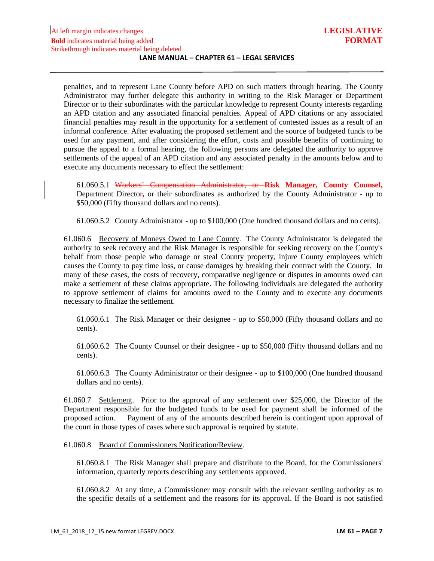penalties, and to represent Lane County before APD on such matters through hearing. The County Administrator may further delegate this authority in writing to the Risk Manager or Department Director or to their subordinates with the particular knowledge to represent County interests regarding an APD citation and any associated financial penalties. Appeal of APD citations or any associated financial penalties may result in the opportunity for a settlement of contested issues as a result of an informal conference. After evaluating the proposed settlement and the source of budgeted funds to be used for any payment, and after considering the effort, costs and possible benefits of continuing to pursue the appeal to a formal hearing, the following persons are delegated the authority to approve settlements of the appeal of an APD citation and any associated penalty in the amounts below and to execute any documents necessary to effect the settlement:

61.060.5.1 Workers' Compensation Administrator, or **Risk Manager, County Counsel,**  Department Director**,** or their subordinates as authorized by the County Administrator - up to \$50,000 (Fifty thousand dollars and no cents).

61.060.5.2 County Administrator - up to \$100,000 (One hundred thousand dollars and no cents).

61.060.6 Recovery of Moneys Owed to Lane County. The County Administrator is delegated the authority to seek recovery and the Risk Manager is responsible for seeking recovery on the County's behalf from those people who damage or steal County property, injure County employees which causes the County to pay time loss, or cause damages by breaking their contract with the County. In many of these cases, the costs of recovery, comparative negligence or disputes in amounts owed can make a settlement of these claims appropriate. The following individuals are delegated the authority to approve settlement of claims for amounts owed to the County and to execute any documents necessary to finalize the settlement.

61.060.6.1 The Risk Manager or their designee - up to \$50,000 (Fifty thousand dollars and no cents).

61.060.6.2 The County Counsel or their designee - up to \$50,000 (Fifty thousand dollars and no cents).

61.060.6.3 The County Administrator or their designee - up to \$100,000 (One hundred thousand dollars and no cents).

61.060.7 Settlement. Prior to the approval of any settlement over \$25,000, the Director of the Department responsible for the budgeted funds to be used for payment shall be informed of the proposed action. Payment of any of the amounts described herein is contingent upon approval of the court in those types of cases where such approval is required by statute.

### 61.060.8 Board of Commissioners Notification/Review.

61.060.8.1 The Risk Manager shall prepare and distribute to the Board, for the Commissioners' information, quarterly reports describing any settlements approved.

61.060.8.2 At any time, a Commissioner may consult with the relevant settling authority as to the specific details of a settlement and the reasons for its approval. If the Board is not satisfied